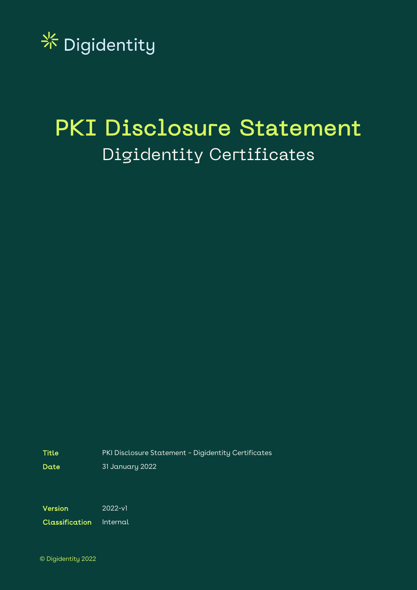

# PKI Disclosure Statement Digidentity Certificates

Title PKI Disclosure Statement – Digidentity Certificates

Date 31 January 2022

Version 2022-v1

Classification Internal

© Digidentity 2022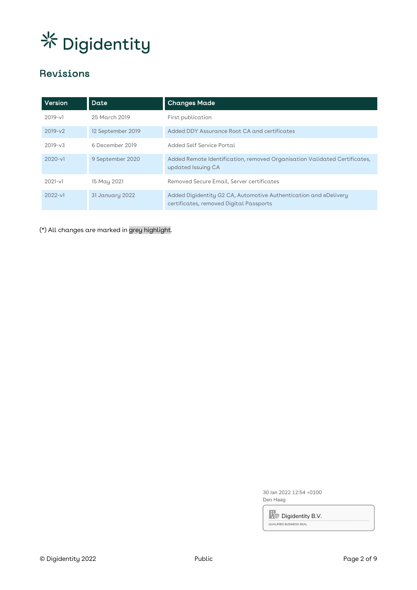# Revisions

| Version     | Date              | <b>Changes Made</b>                                                                                         |
|-------------|-------------------|-------------------------------------------------------------------------------------------------------------|
| $2019 - v1$ | 25 March 2019     | First publication                                                                                           |
| $2019-v2$   | 12 September 2019 | Added DDY Assurance Root CA and certificates                                                                |
| $2019 - v3$ | 6 December 2019   | Added Self Service Portal                                                                                   |
| $2020 - v1$ | 9 September 2020  | Added Remote Identification, removed Organisation Validated Certificates,<br>updated Issuing CA             |
| $2021-v1$   | 15 May 2021       | Removed Secure Email, Server certificates                                                                   |
| $2022 - v1$ | 31 January 2022   | Added Digidentity G2 CA, Automotive Authentication and eDelivery<br>certificates, removed Digital Passports |

(\*) All changes are marked in grey highlight.

30 Jan 2022 12:54 +0100 Den Haag

**R**o Digidentity B.V. QUALIFIED BUSINESS SEAL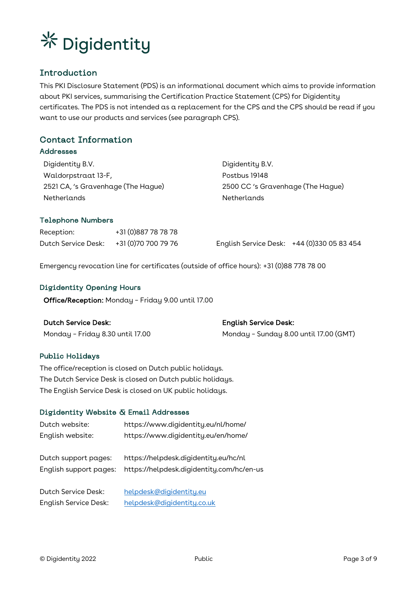

# Introduction

This PKI Disclosure Statement (PDS) is an informational document which aims to provide information about PKI services, summarising the Certification Practice Statement (CPS) for Digidentity certificates. The PDS is not intended as a replacement for the CPS and the CPS should be read if you want to use our products and services (see paragraph CPS).

# Contact Information

### Addresses

Digidentity B.V. Waldorpstraat 13-F, 2521 CA, 's Gravenhage (The Hague) **Netherlands** 

Digidentity B.V. Postbus 19148 2500 CC 's Gravenhage (The Hague) Netherlands

### Telephone Numbers

| Reception:          | +31 (0)887 78 78 78 |                                            |  |
|---------------------|---------------------|--------------------------------------------|--|
| Dutch Service Desk: | +31 (0)70 700 79 76 | English Service Desk: +44 (0)330 05 83 454 |  |

Emergency revocation line for certificates (outside of office hours): +31 (0)88 778 78 00

### Digidentity Opening Hours

Office/Reception: Monday – Friday 9.00 until 17.00

| Dutch Service Desk:              | <b>English Service Desk:</b>           |
|----------------------------------|----------------------------------------|
| Monday - Friday 8.30 until 17.00 | Monday - Sunday 8.00 until 17.00 (GMT) |

### Public Holidays

The office/reception is closed on Dutch public holidays. The Dutch Service Desk is closed on Dutch public holidays. The English Service Desk is closed on UK public holidays.

### Digidentity Website & Email Addresses

| Dutch website:                                 | https://www.digidentity.eu/nl/home/                                                |
|------------------------------------------------|------------------------------------------------------------------------------------|
| English website:                               | https://www.digidentity.eu/en/home/                                                |
| Dutch support pages:<br>English support pages: | https://helpdesk.digidentity.eu/hc/nl<br>https://helpdesk.digidentity.com/hc/en-us |
| Dutch Service Desk:                            | helpdesk@digidentity.eu                                                            |
| <b>English Service Desk:</b>                   | helpdesk@digidentity.co.uk                                                         |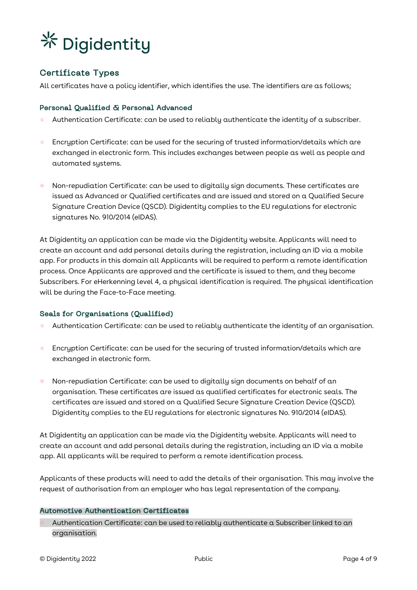

# Certificate Types

All certificates have a policy identifier, which identifies the use. The identifiers are as follows;

### Personal Qualified & Personal Advanced

- Authentication Certificate: can be used to reliably authenticate the identity of a subscriber.
- Encruption Certificate: can be used for the securing of trusted information/details which are 柴 exchanged in electronic form. This includes exchanges between people as well as people and automated systems.
- Non-repudiation Certificate: can be used to digitally sign documents. These certificates are issued as Advanced or Qualified certificates and are issued and stored on a Qualified Secure Signature Creation Device (QSCD). Digidentity complies to the EU regulations for electronic signatures No. 910/2014 (eIDAS).

At Digidentity an application can be made via the Digidentity website. Applicants will need to create an account and add personal details during the registration, including an ID via a mobile app. For products in this domain all Applicants will be required to perform a remote identification process. Once Applicants are approved and the certificate is issued to them, and they become Subscribers. For eHerkenning level 4, a physical identification is required. The physical identification will be during the Face-to-Face meeting.

### Seals for Organisations (Qualified)

- Authentication Certificate: can be used to reliably authenticate the identity of an organisation.
- $*$  Encryption Certificate: can be used for the securing of trusted information/details which are exchanged in electronic form.
- Non-repudiation Certificate: can be used to digitally sign documents on behalf of an organisation. These certificates are issued as qualified certificates for electronic seals. The certificates are issued and stored on a Qualified Secure Signature Creation Device (QSCD). Digidentity complies to the EU regulations for electronic signatures No. 910/2014 (eIDAS).

At Digidentity an application can be made via the Digidentity website. Applicants will need to create an account and add personal details during the registration, including an ID via a mobile app. All applicants will be required to perform a remote identification process.

Applicants of these products will need to add the details of their organisation. This may involve the request of authorisation from an employer who has legal representation of the company.

### Automotive Authentication Certificates

Authentication Certificate: can be used to reliably authenticate a Subscriber linked to an organisation.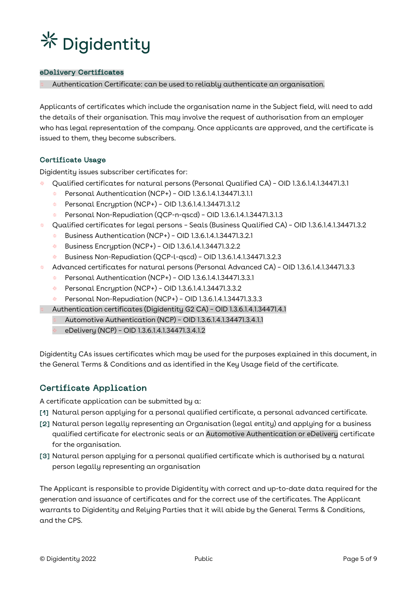

### eDelivery Certificates

Authentication Certificate: can be used to reliably authenticate an organisation.

Applicants of certificates which include the organisation name in the Subject field, will need to add the details of their organisation. This may involve the request of authorisation from an employer who has legal representation of the company. Once applicants are approved, and the certificate is issued to them, they become subscribers.

### Certificate Usage

Digidentity issues subscriber certificates for:

- Qualified certificates for natural persons (Personal Qualified CA) OID 1.3.6.1.4.1.34471.3.1
	- Personal Authentication (NCP+) OID 1.3.6.1.4.1.34471.3.1.1 상산
	- 柴。 Personal Encryption (NCP+) – OID 1.3.6.1.4.1.34471.3.1.2
	- Personal Non-Repudiation (QCP-n-qscd) OID 1.3.6.1.4.1.34471.3.1.3 聚。
- Qualified certificates for legal persons Seals (Business Qualified CA) OID 1.3.6.1.4.1.34471.3.2 뿇
	- Business Authentication (NCP+) OID 1.3.6.1.4.1.34471.3.2.1
	- 柴。 Business Encryption (NCP+) – OID 1.3.6.1.4.1.34471.3.2.2
	- Business Non-Repudiation (QCP-l-qscd) OID 1.3.6.1.4.1.34471.3.2.3
- Advanced certificates for natural persons (Personal Advanced CA) OID 1.3.6.1.4.1.34471.3.3 骇
	- Personal Authentication (NCP+) OID 1.3.6.1.4.1.34471.3.3.1 业务
	- Personal Encryption (NCP+) OID 1.3.6.1.4.1.34471.3.3.2 茶。
	- Personal Non-Repudiation (NCP+) OID 1.3.6.1.4.1.34471.3.3.3 紫。
	- Authentication certificates (Digidentity G2 CA) OID 1.3.6.1.4.1.34471.4.1
	- Automotive Authentication (NCP) OID 1.3.6.1.4.1.34471.3.4.1.1
	- eDelivery (NCP) OID 1.3.6.1.4.1.34471.3.4.1.2

Digidentity CAs issues certificates which may be used for the purposes explained in this document, in the General Terms & Conditions and as identified in the Key Usage field of the certificate.

### Certificate Application

A certificate application can be submitted by a:

- [1] Natural person applying for a personal qualified certificate, a personal advanced certificate.
- [2] Natural person legally representing an Organisation (legal entity) and applying for a business qualified certificate for electronic seals or an Automotive Authentication or eDelivery certificate for the organisation.
- [3] Natural person applying for a personal qualified certificate which is authorised by a natural person legally representing an organisation

The Applicant is responsible to provide Digidentity with correct and up-to-date data required for the generation and issuance of certificates and for the correct use of the certificates. The Applicant warrants to Digidentity and Relying Parties that it will abide by the General Terms & Conditions, and the CPS.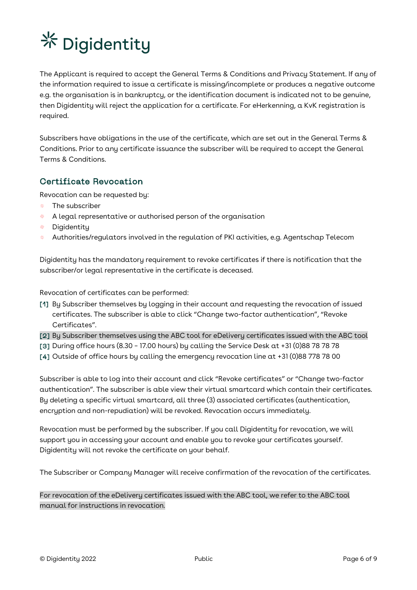The Applicant is required to accept the General Terms & Conditions and Privacy Statement. If any of the information required to issue a certificate is missing/incomplete or produces a negative outcome e.g. the organisation is in bankruptcy, or the identification document is indicated not to be genuine, then Digidentity will reject the application for a certificate. For eHerkenning, a KvK registration is required.

Subscribers have obligations in the use of the certificate, which are set out in the General Terms & Conditions. Prior to any certificate issuance the subscriber will be required to accept the General Terms & Conditions.

# Certificate Revocation

Revocation can be requested by:

- The subscriber 상산
- $*$  A legal representative or authorised person of the organisation
- Digidentity
- Authorities/regulators involved in the regulation of PKI activities, e.g. Agentschap Telecom 鉴。

Digidentity has the mandatory requirement to revoke certificates if there is notification that the subscriber/or legal representative in the certificate is deceased.

Revocation of certificates can be performed:

- [1] By Subscriber themselves by logging in their account and requesting the revocation of issued certificates. The subscriber is able to click "Change two-factor authentication", "Revoke Certificates".
- [2] By Subscriber themselves using the ABC tool for eDelivery certificates issued with the ABC tool
- [3] During office hours (8.30 17.00 hours) by calling the Service Desk at  $+31$  (0)88 78 78 78
- [4] Outside of office hours by calling the emergency revocation line at +31 (0)88 778 78 00

Subscriber is able to log into their account and click "Revoke certificates" or "Change two-factor authentication". The subscriber is able view their virtual smartcard which contain their certificates. By deleting a specific virtual smartcard, all three (3) associated certificates (authentication, encryption and non-repudiation) will be revoked. Revocation occurs immediately.

Revocation must be performed by the subscriber. If you call Digidentity for revocation, we will support you in accessing your account and enable you to revoke your certificates yourself. Digidentity will not revoke the certificate on your behalf.

The Subscriber or Company Manager will receive confirmation of the revocation of the certificates.

For revocation of the eDelivery certificates issued with the ABC tool, we refer to the ABC tool manual for instructions in revocation.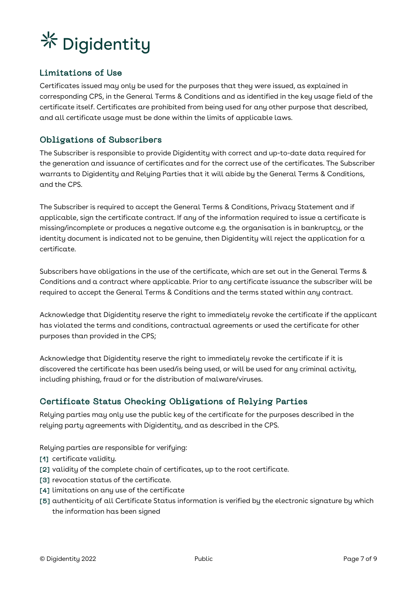

# Limitations of Use

Certificates issued may only be used for the purposes that they were issued, as explained in corresponding CPS, in the General Terms & Conditions and as identified in the key usage field of the certificate itself. Certificates are prohibited from being used for any other purpose that described, and all certificate usage must be done within the limits of applicable laws.

### Obligations of Subscribers

The Subscriber is responsible to provide Digidentity with correct and up-to-date data required for the generation and issuance of certificates and for the correct use of the certificates. The Subscriber warrants to Digidentity and Relying Parties that it will abide by the General Terms & Conditions, and the CPS.

The Subscriber is required to accept the General Terms & Conditions, Privacy Statement and if applicable, sign the certificate contract. If any of the information required to issue a certificate is missing/incomplete or produces a negative outcome e.g. the organisation is in bankruptcy, or the identity document is indicated not to be genuine, then Digidentity will reject the application for a certificate.

Subscribers have obligations in the use of the certificate, which are set out in the General Terms & Conditions and a contract where applicable. Prior to any certificate issuance the subscriber will be required to accept the General Terms & Conditions and the terms stated within any contract.

Acknowledge that Digidentity reserve the right to immediately revoke the certificate if the applicant has violated the terms and conditions, contractual agreements or used the certificate for other purposes than provided in the CPS;

Acknowledge that Digidentity reserve the right to immediately revoke the certificate if it is discovered the certificate has been used/is being used, or will be used for any criminal activity, including phishing, fraud or for the distribution of malware/viruses.

# Certificate Status Checking Obligations of Relying Parties

Relying parties may only use the public key of the certificate for the purposes described in the relying party agreements with Digidentity, and as described in the CPS.

Relying parties are responsible for verifying:

- [1] certificate validity.
- [2] validity of the complete chain of certificates, up to the root certificate.
- [3] revocation status of the certificate.
- [4] limitations on any use of the certificate
- [5] authenticity of all Certificate Status information is verified by the electronic signature by which the information has been signed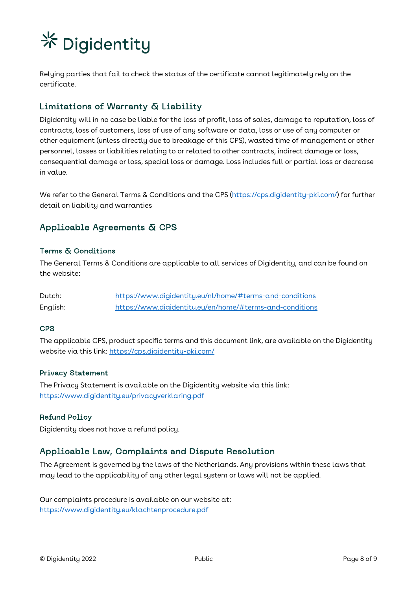Relying parties that fail to check the status of the certificate cannot legitimately rely on the certificate.

# Limitations of Warranty & Liability

Digidentity will in no case be liable for the loss of profit, loss of sales, damage to reputation, loss of contracts, loss of customers, loss of use of any software or data, loss or use of any computer or other equipment (unless directly due to breakage of this CPS), wasted time of management or other personnel, losses or liabilities relating to or related to other contracts, indirect damage or loss, consequential damage or loss, special loss or damage. Loss includes full or partial loss or decrease in value.

We refer to the General Terms & Conditions and the CPS (https://cps.digidentity-pki.com/) for further detail on liability and warranties

# Applicable Agreements & CPS

### Terms & Conditions

The General Terms & Conditions are applicable to all services of Digidentity, and can be found on the website:

| Dutch:   | https://www.digidentity.eu/nl/home/#terms-and-conditions |
|----------|----------------------------------------------------------|
| English: | https://www.digidentity.eu/en/home/#terms-and-conditions |

### CPS

The applicable CPS, product specific terms and this document link, are available on the Digidentity website via this link: https://cps.digidentity-pki.com/

### Privacy Statement

The Privacy Statement is available on the Digidentity website via this link: https://www.digidentity.eu/privacyverklaring.pdf

### Refund Policy

Digidentity does not have a refund policy.

# Applicable Law, Complaints and Dispute Resolution

The Agreement is governed by the laws of the Netherlands. Any provisions within these laws that may lead to the applicability of any other legal system or laws will not be applied.

Our complaints procedure is available on our website at: https://www.digidentity.eu/klachtenprocedure.pdf